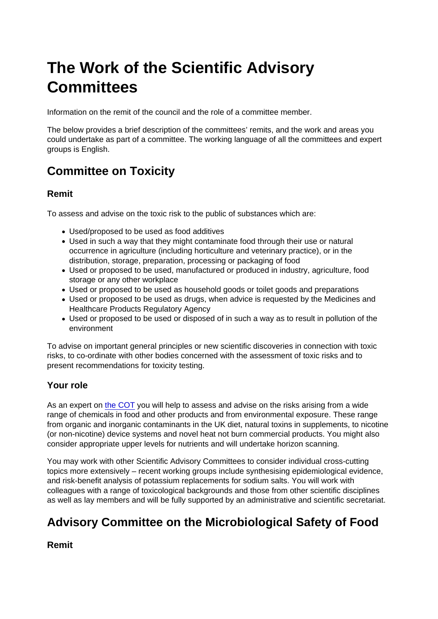# The Work of the Scientific Advisory **Committees**

Information on the remit of the council and the role of a committee member.

The below provides a brief description of the committees' remits, and the work and areas you could undertake as part of a committee. The working language of all the committees and expert groups is English.

# Committee on Toxicity

### Remit

To assess and advise on the toxic risk to the public of substances which are:

- Used/proposed to be used as food additives
- Used in such a way that they might contaminate food through their use or natural occurrence in agriculture (including horticulture and veterinary practice), or in the distribution, storage, preparation, processing or packaging of food
- Used or proposed to be used, manufactured or produced in industry, agriculture, food storage or any other workplace
- Used or proposed to be used as household goods or toilet goods and preparations
- Used or proposed to be used as drugs, when advice is requested by the Medicines and Healthcare Products Regulatory Agency
- Used or proposed to be used or disposed of in such a way as to result in pollution of the environment

To advise on important general principles or new scientific discoveries in connection with toxic risks, to co-ordinate with other bodies concerned with the assessment of toxic risks and to present recommendations for toxicity testing.

### Your role

As an expert on [the COT](https://cot.food.gov.uk/) you will help to assess and advise on the risks arising from a wide range of chemicals in food and other products and from environmental exposure. These range from organic and inorganic contaminants in the UK diet, natural toxins in supplements, to nicotine (or non-nicotine) device systems and novel heat not burn commercial products. You might also consider appropriate upper levels for nutrients and will undertake horizon scanning.

You may work with other Scientific Advisory Committees to consider individual cross-cutting topics more extensively – recent working groups include synthesising epidemiological evidence, and risk-benefit analysis of potassium replacements for sodium salts. You will work with colleagues with a range of toxicological backgrounds and those from other scientific disciplines as well as lay members and will be fully supported by an administrative and scientific secretariat.

## Advisory Committee on the Microbiological Safety of Food

Remit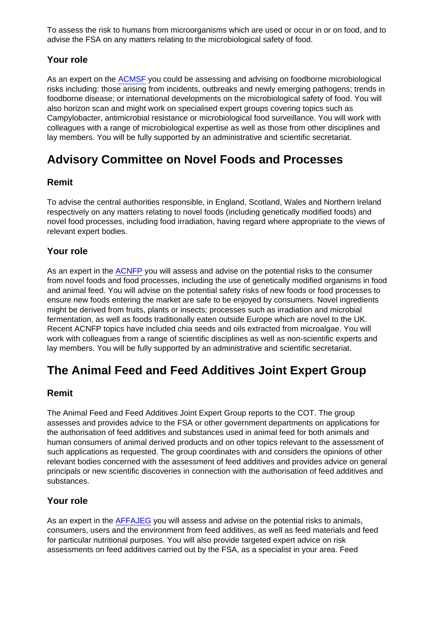To assess the risk to humans from microorganisms which are used or occur in or on food, and to advise the FSA on any matters relating to the microbiological safety of food.

### Your role

As an expert on the [ACMSF](https://acmsf.food.gov.uk/) you could be assessing and advising on foodborne microbiological risks including: those arising from incidents, outbreaks and newly emerging pathogens; trends in foodborne disease; or international developments on the microbiological safety of food. You will also horizon scan and might work on specialised expert groups covering topics such as Campylobacter, antimicrobial resistance or microbiological food surveillance. You will work with colleagues with a range of microbiological expertise as well as those from other disciplines and lay members. You will be fully supported by an administrative and scientific secretariat.

### Advisory Committee on Novel Foods and Processes

### Remit

To advise the central authorities responsible, in England, Scotland, Wales and Northern Ireland respectively on any matters relating to novel foods (including genetically modified foods) and novel food processes, including food irradiation, having regard where appropriate to the views of relevant expert bodies.

### Your role

As an expert in the [ACNFP](https://acnfp.food.gov.uk/) you will assess and advise on the potential risks to the consumer from novel foods and food processes, including the use of genetically modified organisms in food and animal feed. You will advise on the potential safety risks of new foods or food processes to ensure new foods entering the market are safe to be enjoyed by consumers. Novel ingredients might be derived from fruits, plants or insects; processes such as irradiation and microbial fermentation, as well as foods traditionally eaten outside Europe which are novel to the UK. Recent ACNFP topics have included chia seeds and oils extracted from microalgae. You will work with colleagues from a range of scientific disciplines as well as non-scientific experts and lay members. You will be fully supported by an administrative and scientific secretariat.

### The Animal Feed and Feed Additives Joint Expert Group

### Remit

The Animal Feed and Feed Additives Joint Expert Group reports to the COT. The group assesses and provides advice to the FSA or other government departments on applications for the authorisation of feed additives and substances used in animal feed for both animals and human consumers of animal derived products and on other topics relevant to the assessment of such applications as requested. The group coordinates with and considers the opinions of other relevant bodies concerned with the assessment of feed additives and provides advice on general principals or new scientific discoveries in connection with the authorisation of feed additives and substances.

### Your role

As an expert in the [AFFAJEG](https://cot.food.gov.uk/JEGAFFA) you will assess and advise on the potential risks to animals, consumers, users and the environment from feed additives, as well as feed materials and feed for particular nutritional purposes. You will also provide targeted expert advice on risk assessments on feed additives carried out by the FSA, as a specialist in your area. Feed